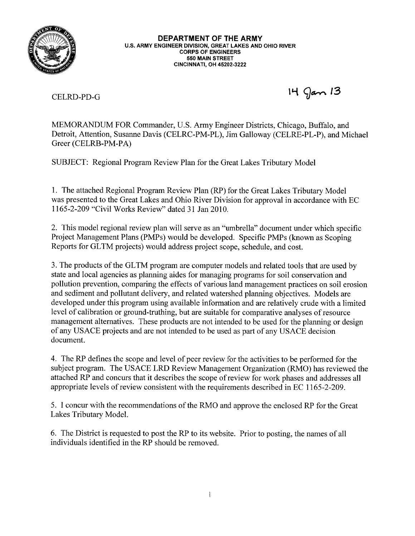

**DEPARTMENT OF THE ARMY** U.S. ARMY ENGINEER DIVISION, GREAT LAKES AND OHIO RIVER **CORPS OF ENGINEERS** 550 MAIN STREET **CINCINNATI, OH 45202-3222** 

**CELRD-PD-G** 

 $14$  gan  $13$ 

MEMORANDUM FOR Commander, U.S. Army Engineer Districts, Chicago, Buffalo, and Detroit, Attention, Susanne Davis (CELRC-PM-PL), Jim Galloway (CELRE-PL-P), and Michael Greer (CELRB-PM-PA)

SUBJECT: Regional Program Review Plan for the Great Lakes Tributary Model

1. The attached Regional Program Review Plan (RP) for the Great Lakes Tributary Model was presented to the Great Lakes and Ohio River Division for approval in accordance with EC 1165-2-209 "Civil Works Review" dated 31 Jan 2010.

2. This model regional review plan will serve as an "umbrella" document under which specific Project Management Plans (PMPs) would be developed. Specific PMPs (known as Scoping Reports for GLTM projects) would address project scope, schedule, and cost.

3. The products of the GLTM program are computer models and related tools that are used by state and local agencies as planning aides for managing programs for soil conservation and pollution prevention, comparing the effects of various land management practices on soil erosion and sediment and pollutant delivery, and related watershed planning objectives. Models are developed under this program using available information and are relatively crude with a limited level of calibration or ground-truthing, but are suitable for comparative analyses of resource management alternatives. These products are not intended to be used for the planning or design of any USACE projects and are not intended to be used as part of any USACE decision document.

4. The RP defines the scope and level of peer review for the activities to be performed for the subject program. The USACE LRD Review Management Organization (RMO) has reviewed the attached RP and concurs that it describes the scope of review for work phases and addresses all appropriate levels of review consistent with the requirements described in EC 1165-2-209.

5. I concur with the recommendations of the RMO and approve the enclosed RP for the Great Lakes Tributary Model.

6. The District is requested to post the RP to its website. Prior to posting, the names of all individuals identified in the RP should be removed.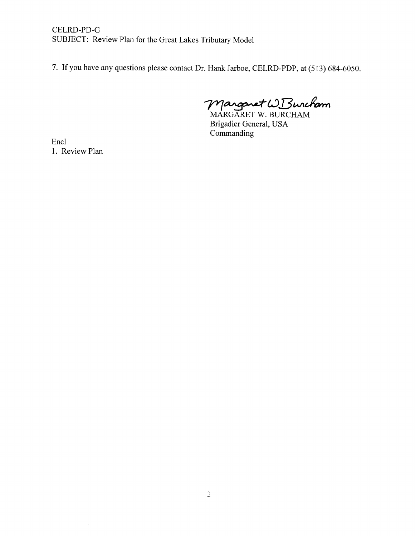CELRD-PD-G SUBJECT: Review Plan for the Great Lakes Tributary Model

7. If you have any questions please contact Dr. Hank Jarboe, CELRD-PDP, at (513) 684-6050.

Marganet WBuncham

Brigadier General, USA Commanding

Encl 1. Review Plan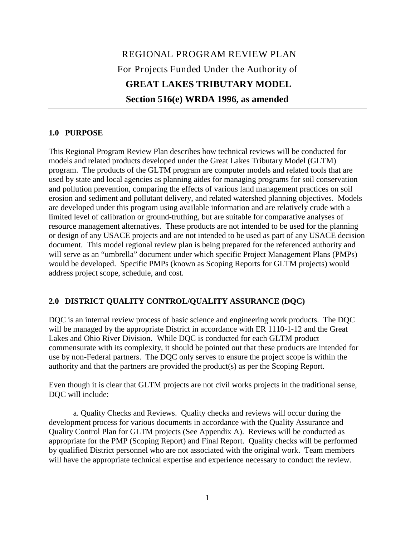# REGIONAL PROGRAM REVIEW PLAN For Projects Funded Under the Authority of **GREAT LAKES TRIBUTARY MODEL Section 516(e) WRDA 1996, as amended**

#### **1.0 PURPOSE**

This Regional Program Review Plan describes how technical reviews will be conducted for models and related products developed under the Great Lakes Tributary Model (GLTM) program. The products of the GLTM program are computer models and related tools that are used by state and local agencies as planning aides for managing programs for soil conservation and pollution prevention, comparing the effects of various land management practices on soil erosion and sediment and pollutant delivery, and related watershed planning objectives. Models are developed under this program using available information and are relatively crude with a limited level of calibration or ground-truthing, but are suitable for comparative analyses of resource management alternatives. These products are not intended to be used for the planning or design of any USACE projects and are not intended to be used as part of any USACE decision document. This model regional review plan is being prepared for the referenced authority and will serve as an "umbrella" document under which specific Project Management Plans (PMPs) would be developed. Specific PMPs (known as Scoping Reports for GLTM projects) would address project scope, schedule, and cost.

### **2.0 DISTRICT QUALITY CONTROL/QUALITY ASSURANCE (DQC)**

DQC is an internal review process of basic science and engineering work products. The DQC will be managed by the appropriate District in accordance with ER 1110-1-12 and the Great Lakes and Ohio River Division. While DQC is conducted for each GLTM product commensurate with its complexity, it should be pointed out that these products are intended for use by non-Federal partners. The DQC only serves to ensure the project scope is within the authority and that the partners are provided the product(s) as per the Scoping Report.

Even though it is clear that GLTM projects are not civil works projects in the traditional sense, DQC will include:

a. Quality Checks and Reviews. Quality checks and reviews will occur during the development process for various documents in accordance with the Quality Assurance and Quality Control Plan for GLTM projects (See Appendix A). Reviews will be conducted as appropriate for the PMP (Scoping Report) and Final Report. Quality checks will be performed by qualified District personnel who are not associated with the original work. Team members will have the appropriate technical expertise and experience necessary to conduct the review.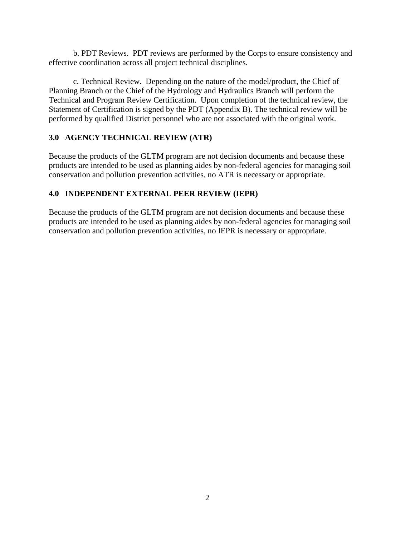b. PDT Reviews. PDT reviews are performed by the Corps to ensure consistency and effective coordination across all project technical disciplines.

c. Technical Review. Depending on the nature of the model/product, the Chief of Planning Branch or the Chief of the Hydrology and Hydraulics Branch will perform the Technical and Program Review Certification. Upon completion of the technical review, the Statement of Certification is signed by the PDT (Appendix B). The technical review will be performed by qualified District personnel who are not associated with the original work.

### **3.0 AGENCY TECHNICAL REVIEW (ATR)**

Because the products of the GLTM program are not decision documents and because these products are intended to be used as planning aides by non-federal agencies for managing soil conservation and pollution prevention activities, no ATR is necessary or appropriate.

### **4.0 INDEPENDENT EXTERNAL PEER REVIEW (IEPR)**

Because the products of the GLTM program are not decision documents and because these products are intended to be used as planning aides by non-federal agencies for managing soil conservation and pollution prevention activities, no IEPR is necessary or appropriate.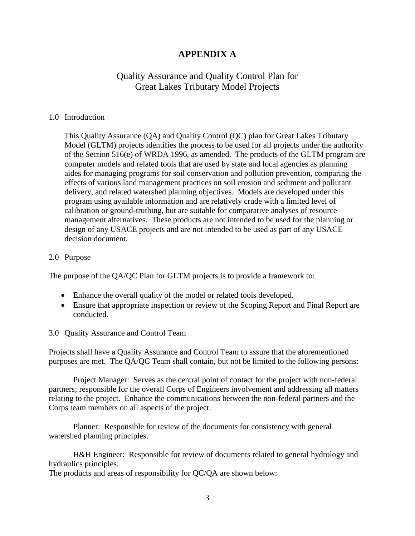### **APPENDIX A**

### Quality Assurance and Quality Control Plan for Great Lakes Tributary Model Projects

#### 1.0 Introduction

This Quality Assurance (QA) and Quality Control (QC) plan for Great Lakes Tributary Model (GLTM) projects identifies the process to be used for all projects under the authority of the Section 516(e) of WRDA 1996, as amended. The products of the GLTM program are computer models and related tools that are used by state and local agencies as planning aides for managing programs for soil conservation and pollution prevention, comparing the effects of various land management practices on soil erosion and sediment and pollutant delivery, and related watershed planning objectives. Models are developed under this program using available information and are relatively crude with a limited level of calibration or ground-truthing, but are suitable for comparative analyses of resource management alternatives. These products are not intended to be used for the planning or design of any USACE projects and are not intended to be used as part of any USACE decision document.

#### 2.0 Purpose

The purpose of the QA/QC Plan for GLTM projects is to provide a framework to:

- Enhance the overall quality of the model or related tools developed.
- Ensure that appropriate inspection or review of the Scoping Report and Final Report are conducted.

#### 3.0 Quality Assurance and Control Team

Projects shall have a Quality Assurance and Control Team to assure that the aforementioned purposes are met. The QA/QC Team shall contain, but not be limited to the following persons:

Project Manager: Serves as the central point of contact for the project with non-federal partners; responsible for the overall Corps of Engineers involvement and addressing all matters relating to the project. Enhance the communications between the non-federal partners and the Corps team members on all aspects of the project.

Planner: Responsible for review of the documents for consistency with general watershed planning principles.

H&H Engineer: Responsible for review of documents related to general hydrology and hydraulics principles.

The products and areas of responsibility for QC/QA are shown below: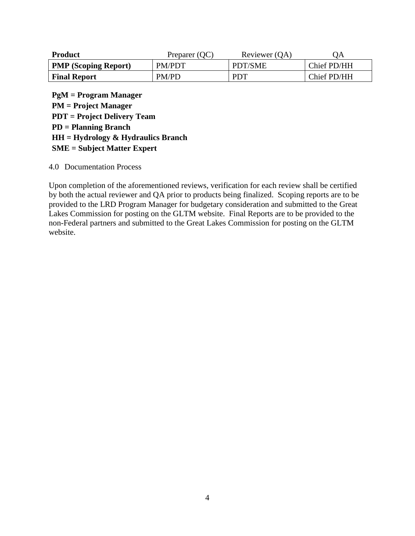| <b>Product</b>              | Preparer (QC) | Reviewer (QA) | QA          |
|-----------------------------|---------------|---------------|-------------|
| <b>PMP</b> (Scoping Report) | PM/PDT        | PDT/SME       | Chief PD/HH |
| <b>Final Report</b>         | PM/PD         | <b>PDT</b>    | Chief PD/HH |

**PgM = Program Manager PM = Project Manager PDT = Project Delivery Team PD = Planning Branch HH = Hydrology & Hydraulics Branch SME = Subject Matter Expert**

4.0 Documentation Process

Upon completion of the aforementioned reviews, verification for each review shall be certified by both the actual reviewer and QA prior to products being finalized. Scoping reports are to be provided to the LRD Program Manager for budgetary consideration and submitted to the Great Lakes Commission for posting on the GLTM website. Final Reports are to be provided to the non-Federal partners and submitted to the Great Lakes Commission for posting on the GLTM website.